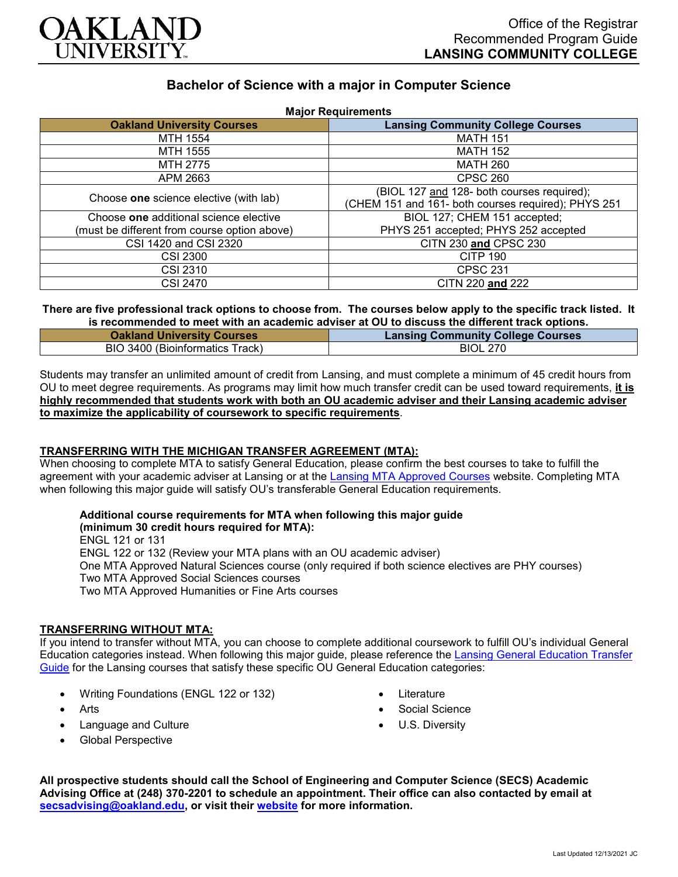

# **Bachelor of Science with a major in Computer Science**

| <b>Major Requirements</b>                    |                                                     |
|----------------------------------------------|-----------------------------------------------------|
| <b>Oakland University Courses</b>            | <b>Lansing Community College Courses</b>            |
| MTH 1554                                     | <b>MATH 151</b>                                     |
| MTH 1555                                     | <b>MATH 152</b>                                     |
| MTH 2775                                     | <b>MATH 260</b>                                     |
| APM 2663                                     | <b>CPSC 260</b>                                     |
| Choose one science elective (with lab)       | (BIOL 127 and 128- both courses required);          |
|                                              | (CHEM 151 and 161- both courses required); PHYS 251 |
| Choose one additional science elective       | BIOL 127; CHEM 151 accepted;                        |
| (must be different from course option above) | PHYS 251 accepted; PHYS 252 accepted                |
| CSI 1420 and CSI 2320                        | CITN 230 and CPSC 230                               |
| <b>CSI 2300</b>                              | <b>CITP 190</b>                                     |
| <b>CSI 2310</b>                              | <b>CPSC 231</b>                                     |
| <b>CSI 2470</b>                              | CITN 220 and 222                                    |

**There are five professional track options to choose from. The courses below apply to the specific track listed. It is recommended to meet with an academic adviser at OU to discuss the different track options.**

| <b>Oakland University Courses</b> | <b>Lansing Community College Courses</b> |
|-----------------------------------|------------------------------------------|
| BIO 3400 (Bioinformatics Track)   | <b>BIOL 270</b>                          |

Students may transfer an unlimited amount of credit from Lansing, and must complete a minimum of 45 credit hours from OU to meet degree requirements. As programs may limit how much transfer credit can be used toward requirements, **it is highly recommended that students work with both an OU academic adviser and their Lansing academic adviser to maximize the applicability of coursework to specific requirements**.

#### **TRANSFERRING WITH THE MICHIGAN TRANSFER AGREEMENT (MTA):**

When choosing to complete MTA to satisfy General Education, please confirm the best courses to take to fulfill the agreement with your academic adviser at Lansing or at the [Lansing MTA Approved Courses](https://www.lcc.edu/academics/transfer/mta.html) website. Completing MTA when following this major guide will satisfy OU's transferable General Education requirements.

## **Additional course requirements for MTA when following this major guide**

**(minimum 30 credit hours required for MTA):** ENGL 121 or 131 ENGL 122 or 132 (Review your MTA plans with an OU academic adviser) One MTA Approved Natural Sciences course (only required if both science electives are PHY courses) Two MTA Approved Social Sciences courses Two MTA Approved Humanities or Fine Arts courses

#### **TRANSFERRING WITHOUT MTA:**

If you intend to transfer without MTA, you can choose to complete additional coursework to fulfill OU's individual General Education categories instead. When following this major guide, please reference the [Lansing General Education Transfer](https://www.oakland.edu/Assets/Oakland/program-guides/lansing-community-college/university-general-education-requirements/Lansing%20Gen%20Ed.pdf)  [Guide](https://www.oakland.edu/Assets/Oakland/program-guides/lansing-community-college/university-general-education-requirements/Lansing%20Gen%20Ed.pdf) for the Lansing courses that satisfy these specific OU General Education categories:

- Writing Foundations (ENGL 122 or 132)
- Arts
- Language and Culture
- Global Perspective
- **Literature**
- Social Science
- U.S. Diversity

**All prospective students should call the School of Engineering and Computer Science (SECS) Academic Advising Office at (248) 370-2201 to schedule an appointment. Their office can also contacted by email at [secsadvising@oakland.edu,](mailto:secsadvising@oakland.edu) or visit their [website](https://wwwp.oakland.edu/secs/advising/) for more information.**